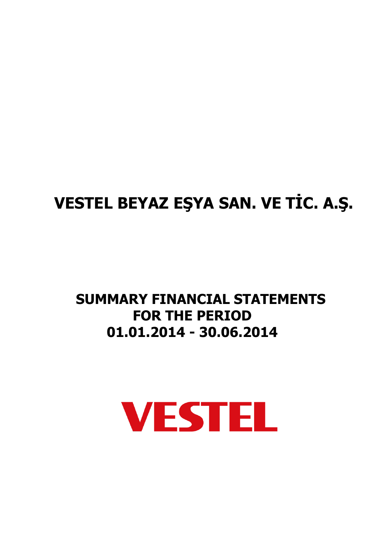# **VESTEL BEYAZ EŞYA SAN. VE TİC. A.Ş.**

# **SUMMARY FINANCIAL STATEMENTS FOR THE PERIOD 01.01.2014 - 30.06.2014**

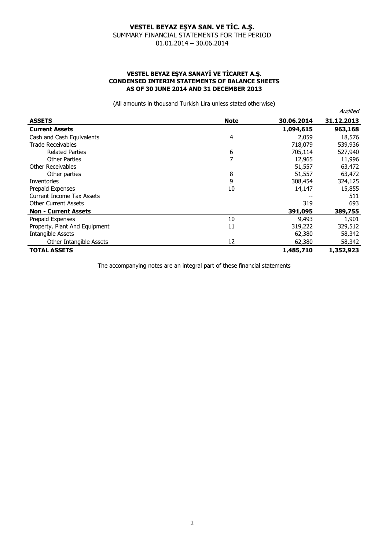#### **VESTEL BEYAZ EŞYA SANAYİ VE TİCARET A.Ş. CONDENSED INTERIM STATEMENTS OF BALANCE SHEETS AS OF 30 JUNE 2014 AND 31 DECEMBER 2013**

(All amounts in thousand Turkish Lira unless stated otherwise)

|                               |             |            | Audited    |
|-------------------------------|-------------|------------|------------|
| <b>ASSETS</b>                 | <b>Note</b> | 30.06.2014 | 31.12.2013 |
| <b>Current Assets</b>         |             | 1,094,615  | 963,168    |
| Cash and Cash Equivalents     | 4           | 2,059      | 18,576     |
| <b>Trade Receivables</b>      |             | 718,079    | 539,936    |
| <b>Related Parties</b>        | 6           | 705,114    | 527,940    |
| <b>Other Parties</b>          | 7           | 12,965     | 11,996     |
| Other Receivables             |             | 51,557     | 63,472     |
| Other parties                 | 8           | 51,557     | 63,472     |
| Inventories                   | 9           | 308,454    | 324,125    |
| Prepaid Expenses              | 10          | 14,147     | 15,855     |
| Current Income Tax Assets     |             |            | 511        |
| <b>Other Current Assets</b>   |             | 319        | 693        |
| <b>Non - Current Assets</b>   |             | 391,095    | 389,755    |
| Prepaid Expenses              | 10          | 9,493      | 1,901      |
| Property, Plant And Equipment | 11          | 319,222    | 329,512    |
| <b>Intangible Assets</b>      |             | 62,380     | 58,342     |
| Other Intangible Assets       | 12          | 62,380     | 58,342     |
| <b>TOTAL ASSETS</b>           |             | 1,485,710  | 1,352,923  |

The accompanying notes are an integral part of these financial statements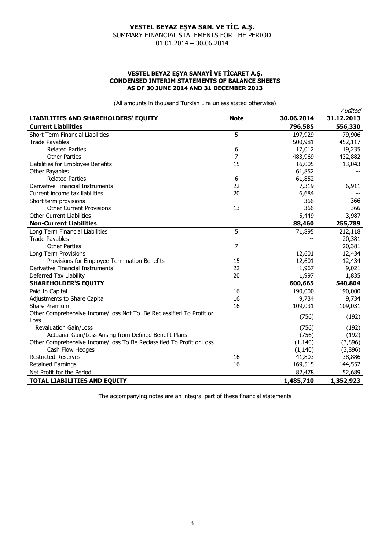#### **VESTEL BEYAZ EŞYA SANAYİ VE TİCARET A.Ş. CONDENSED INTERIM STATEMENTS OF BALANCE SHEETS AS OF 30 JUNE 2014 AND 31 DECEMBER 2013**

(All amounts in thousand Turkish Lira unless stated otherwise)

|                                                                      |             |            | Audited    |
|----------------------------------------------------------------------|-------------|------------|------------|
| <b>LIABILITIES AND SHAREHOLDERS' EQUITY</b>                          | <b>Note</b> | 30.06.2014 | 31.12.2013 |
| <b>Current Liabilities</b>                                           |             | 796,585    | 556,330    |
| <b>Short Term Financial Liabilities</b>                              | 5           | 197,929    | 79,906     |
| <b>Trade Payables</b>                                                |             | 500,981    | 452,117    |
| <b>Related Parties</b>                                               | 6           | 17,012     | 19,235     |
| <b>Other Parties</b>                                                 | 7           | 483,969    | 432,882    |
| Liabilities for Employee Benefits                                    | 15          | 16,005     | 13,043     |
| <b>Other Payables</b>                                                |             | 61,852     |            |
| <b>Related Parties</b>                                               | 6           | 61,852     |            |
| Derivative Financial Instruments                                     | 22          | 7,319      | 6,911      |
| Current income tax liabilities                                       | 20          | 6,684      |            |
| Short term provisions                                                |             | 366        | 366        |
| <b>Other Current Provisions</b>                                      | 13          | 366        | 366        |
| <b>Other Current Liabilities</b>                                     |             | 5,449      | 3,987      |
| <b>Non-Current Liabilities</b>                                       |             | 88,460     | 255,789    |
| Long Term Financial Liabilities                                      | 5           | 71,895     | 212,118    |
| <b>Trade Payables</b>                                                |             |            | 20,381     |
| <b>Other Parties</b>                                                 | 7           | --         | 20,381     |
| Long Term Provisions                                                 |             | 12,601     | 12,434     |
| Provisions for Employee Termination Benefits                         | 15          | 12,601     | 12,434     |
| Derivative Financial Instruments                                     | 22          | 1,967      | 9,021      |
| Deferred Tax Liability                                               | 20          | 1,997      | 1,835      |
| <b>SHAREHOLDER'S EQUITY</b>                                          |             | 600,665    | 540,804    |
| Paid In Capital                                                      | 16          | 190,000    | 190,000    |
| Adjustments to Share Capital                                         | 16          | 9,734      | 9,734      |
| <b>Share Premium</b>                                                 | 16          | 109,031    | 109,031    |
| Other Comprehensive Income/Loss Not To Be Reclassified To Profit or  |             | (756)      | (192)      |
| Loss                                                                 |             |            |            |
| <b>Revaluation Gain/Loss</b>                                         |             | (756)      | (192)      |
| Actuarial Gain/Loss Arising from Defined Benefit Plans               |             | (756)      | (192)      |
| Other Comprehensive Income/Loss To Be Reclassified To Profit or Loss |             | (1, 140)   | (3,896)    |
| Cash Flow Hedges                                                     |             | (1, 140)   | (3,896)    |
| <b>Restricted Reserves</b>                                           | 16          | 41,803     | 38,886     |
| <b>Retained Earnings</b>                                             | 16          | 169,515    | 144,552    |
| Net Profit for the Period                                            |             | 82,478     | 52,689     |
| <b>TOTAL LIABILITIES AND EQUITY</b>                                  |             | 1,485,710  | 1,352,923  |

The accompanying notes are an integral part of these financial statements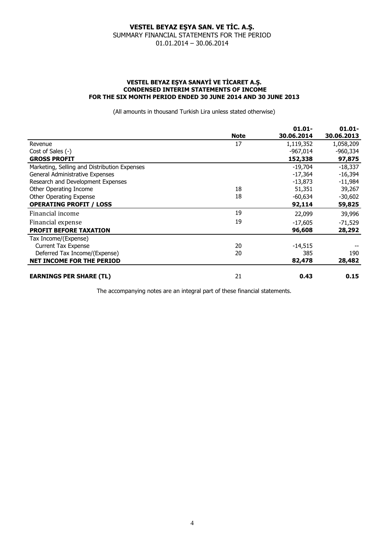#### **VESTEL BEYAZ EŞYA SANAYİ VE TİCARET A.Ş. CONDENSED INTERIM STATEMENTS OF INCOME FOR THE SIX MONTH PERIOD ENDED 30 JUNE 2014 AND 30 JUNE 2013**

(All amounts in thousand Turkish Lira unless stated otherwise)

|                                              |             | $01.01 -$  | $01.01 -$  |
|----------------------------------------------|-------------|------------|------------|
|                                              | <b>Note</b> | 30.06.2014 | 30.06.2013 |
| Revenue                                      | 17          | 1,119,352  | 1,058,209  |
| Cost of Sales (-)                            |             | -967,014   | $-960,334$ |
| <b>GROSS PROFIT</b>                          |             | 152,338    | 97,875     |
| Marketing, Selling and Distribution Expenses |             | $-19,704$  | $-18,337$  |
| General Administrative Expenses              |             | $-17,364$  | $-16,394$  |
| Research and Development Expenses            |             | -13,873    | $-11,984$  |
| Other Operating Income                       | 18          | 51,351     | 39,267     |
| <b>Other Operating Expense</b>               | 18          | $-60,634$  | $-30,602$  |
| <b>OPERATING PROFIT / LOSS</b>               |             | 92,114     | 59,825     |
| Financial income                             | 19          | 22,099     | 39,996     |
| Financial expense                            | 19          | $-17,605$  | $-71,529$  |
| <b>PROFIT BEFORE TAXATION</b>                |             | 96,608     | 28,292     |
| Tax Income/(Expense)                         |             |            |            |
| <b>Current Tax Expense</b>                   | 20          | $-14,515$  |            |
| Deferred Tax Income/(Expense)                | 20          | 385        | 190        |
| <b>NET INCOME FOR THE PERIOD</b>             |             | 82,478     | 28,482     |
| <b>EARNINGS PER SHARE (TL)</b>               | 21          | 0.43       | 0.15       |

The accompanying notes are an integral part of these financial statements.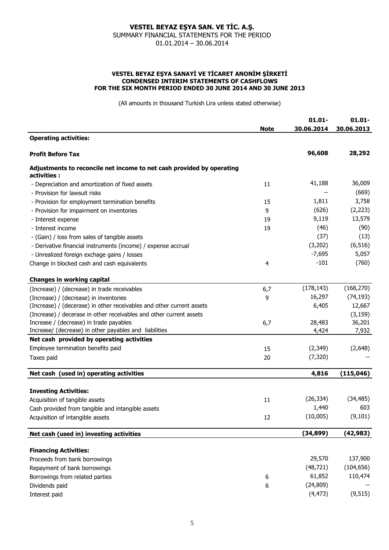#### **VESTEL BEYAZ EŞYA SANAYİ VE TİCARET ANONİM ŞİRKETİ CONDENSED INTERIM STATEMENTS OF CASHFLOWS FOR THE SIX MONTH PERIOD ENDED 30 JUNE 2014 AND 30 JUNE 2013**

(All amounts in thousand Turkish Lira unless stated otherwise)

|                                                                                       |             | $01.01 -$  | $01.01 -$  |
|---------------------------------------------------------------------------------------|-------------|------------|------------|
|                                                                                       | <b>Note</b> | 30.06.2014 | 30.06.2013 |
| <b>Operating activities:</b>                                                          |             |            |            |
| <b>Profit Before Tax</b>                                                              |             | 96,608     | 28,292     |
| Adjustments to reconcile net income to net cash provided by operating<br>activities : |             |            |            |
| - Depreciation and amortization of fixed assets                                       | 11          | 41,188     | 36,009     |
| - Provision for lawsuit risks                                                         |             |            | (669)      |
| - Provision for employment termination benefits                                       | 15          | 1,811      | 3,758      |
| - Provision for impairment on inventories                                             | 9           | (626)      | (2, 223)   |
| - Interest expense                                                                    | 19          | 9,119      | 13,579     |
| - Interest income                                                                     | 19          | (46)       | (90)       |
| - (Gain) / loss from sales of tangible assets                                         |             | (37)       | (13)       |
| - Derivative financial instruments (income) / expense accrual                         |             | (3,202)    | (6, 516)   |
| - Unrealized foreign exchage gains / losses                                           |             | $-7,695$   | 5,057      |
| Change in blocked cash and cash equivalents                                           | 4           | $-101$     | (760)      |
| <b>Changes in working capital</b>                                                     |             |            |            |
| (Increase) / (decrease) in trade receivables                                          | 6,7         | (178, 143) | (168, 270) |
| (Increase) / (decrease) in inventories                                                | 9           | 16,297     | (74, 193)  |
| (Increase) / (decerase) in other receivables and other current assets                 |             | 6,405      | 12,667     |
| (Increase) / decerase in other receivables and other current assets                   |             |            | (3, 159)   |
| Increase / (decrease) in trade payables                                               | 6,7         | 28,483     | 36,201     |
| Increase/ (decrease) in other payables and liabilities                                |             | 4,424      | 7,932      |
| Net cash provided by operating activities                                             |             |            |            |
| Employee termination benefits paid                                                    | 15          | (2,349)    | (2,648)    |
| Taxes paid                                                                            | 20          | (7, 320)   |            |
| Net cash (used in) operating activities                                               |             | 4,816      | (115, 046) |
| <b>Investing Activities:</b>                                                          |             |            |            |
| Acquisition of tangible assets                                                        | 11          | (26, 334)  | (34, 485)  |
| Cash provided from tangible and intangible assets                                     |             | 1,440      | 603        |
| Acquisition of intangible assets                                                      | 12          | (10,005)   | (9, 101)   |
| Net cash (used in) investing activities                                               |             | (34, 899)  | (42, 983)  |
|                                                                                       |             |            |            |
| <b>Financing Activities:</b>                                                          |             |            |            |
| Proceeds from bank borrowings                                                         |             | 29,570     | 137,900    |
| Repayment of bank borrowings                                                          |             | (48, 721)  | (104, 656) |
| Borrowings from related parties                                                       | 6           | 61,852     | 110,474    |
| Dividends paid                                                                        | 6           | (24, 809)  |            |
| Interest paid                                                                         |             | (4, 473)   | (9, 515)   |